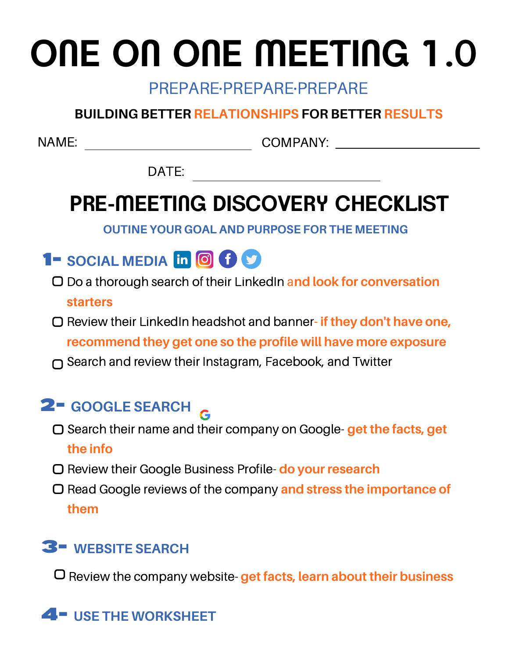# **ONE ON ONE MEETING 1.0**

#### PREPARE·PREPARE·PREPARE

#### **BUILDING BETTER RELATIONSHIPS FOR BETTER RESULTS**

NAME: COMPANY:

DATE:

## **PRE-MEETING DISCOVERY CHECKLIST**

**OUTINE YOUR GOAL AND PURPOSE FOR THE MEETING**



- Do a thorough search of their LinkedIn a**nd look for conversation starters**
- Review their LinkedIn headshot and banner**- if they don't have one, recommend they get one so the profile will have more exposure**
- Search and review their Instagram, Facebook, and Twitter

### **GOOGLE SEARCH** 2-

- Search their name and their company on Google- **get the facts, get the info**
- Review their Google Business Profile- **do your research**
- Read Google reviews of the company **and stress the importance of them**

### **WEBSITE SEARCH** 3-

Review the company website- **get facts, learn about their business**

### 4- **USE THE WORKSHEET**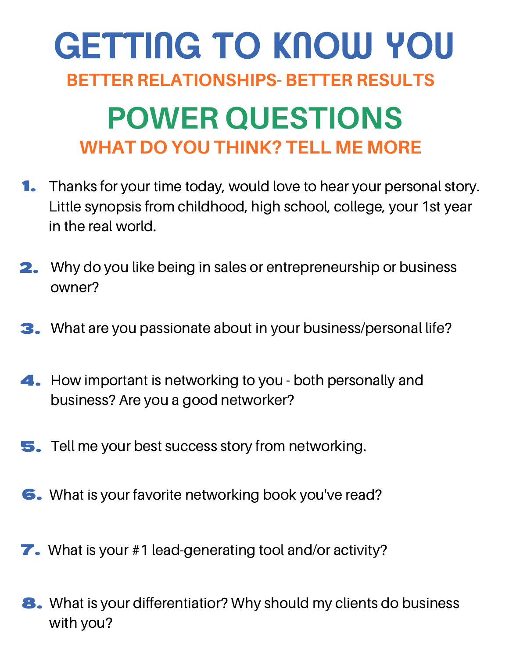## **POWER QUESTIONS WHAT DO YOU THINK? TELL ME MORE GETTING TO KNOW YOU BETTER RELATIONSHIPS- BETTER RESULTS**

- **1.** Thanks for your time today, would love to hear your personal story. Little synopsis from childhood, high school, college, your 1st year in the real world.
- 2. Why do you like being in sales or entrepreneurship or business owner?
- 3. What are you passionate about in your business/personal life?
- 4. How important is networking to you both personally and business? Are you a good networker?
- 5. Tell me your best success story from networking.
- What is your favorite networking book you've read? 6.
- **7.** What is your #1 lead-generating tool and/or activity?
- 8. What is your differentiatior? Why should my clients do business with you?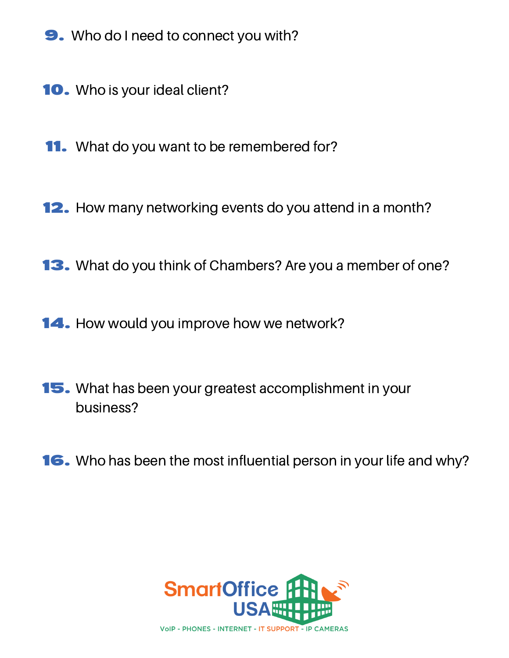- 9. Who do I need to connect you with?
- 10. Who is your ideal client?
- **11.** What do you want to be remembered for?
- 12. How many networking events do you attend in a month?
- 13. What do you think of Chambers? Are you a member of one?
- 14. How would you improve how we network?
- 15. What has been your greatest accomplishment in your business?
- 16. Who has been the most influential person in your life and why?

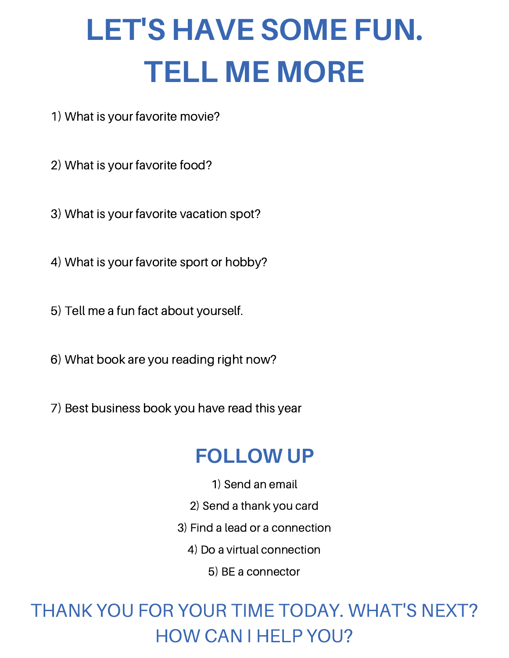## **LET'S HAVE SOME FUN. TELL ME MORE**

- 1) What is your favorite movie?
- 2) What is your favorite food?
- 3) What is your favorite vacation spot?
- 4) What is your favorite sport or hobby?
- 5) Tell me a fun fact about yourself.
- 6) What book are you reading right now?
- 7) Best business book you have read this year

## **FOLLOW UP**

- 1) Send an email
- 2) Send a thank you card
- 3) Find a lead or a connection
	- 4) Do a virtual connection
		- 5) BE a connector

## THANK YOU FOR YOUR TIME TODAY. WHAT'S NEXT? HOW CAN I HELP YOU?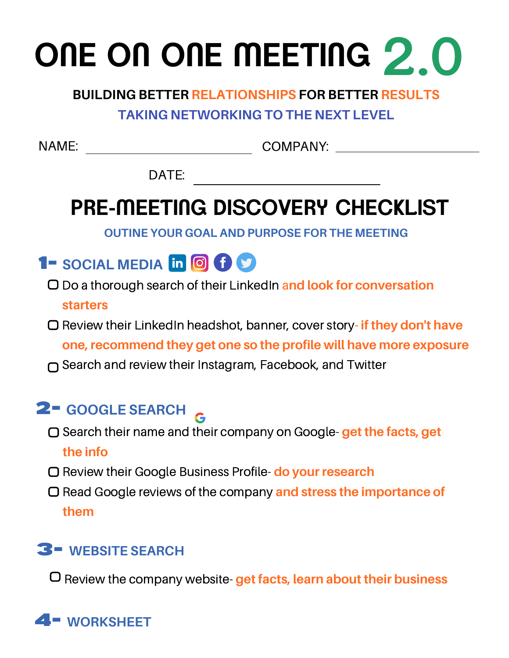## **ONE ON ONE MEETING 2.0**

#### **BUILDING BETTER RELATIONSHIPS FOR BETTER RESULTS**

#### **TAKING NETWORKING TO THE NEXT LEVEL**

NAME: COMPANY:

DATE:

## **PRE-MEETING DISCOVERY CHECKLIST**

**OUTINE YOUR GOAL AND PURPOSE FOR THE MEETING**

## **1- SOCIAL MEDIA**

- Do a thorough search of their LinkedIn a**nd look for conversation starters**
- Review their LinkedIn headshot, banner, cover story**- if they don't have one, recommend they get one so the profile will have more exposure**
- Search and review their Instagram, Facebook, and Twitter

### **GOOGLE SEARCH** 2-

- Search their name and their company on Google- **get the facts, get the info**
- Review their Google Business Profile- **do your research**
- Read Google reviews of the company **and stress the importance of them**

### **WEBSITE SEARCH** 3-

Review the company website- **get facts, learn about their business**

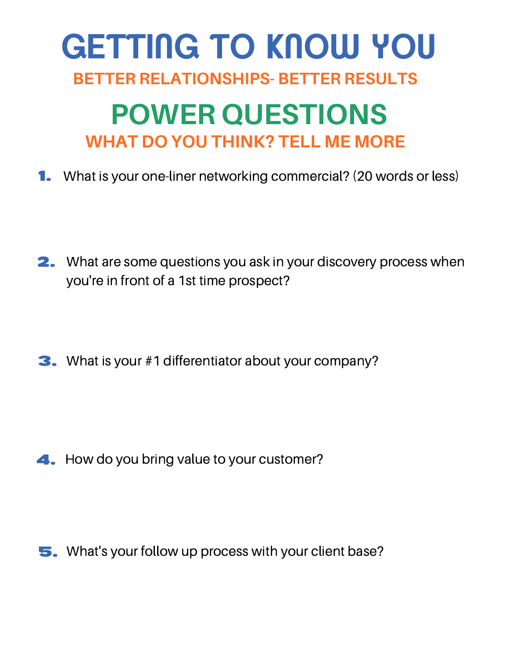## **POWER QUESTIONS WHAT DO YOU THINK? TELL ME MORE GETTING TO KNOW YOU BETTER RELATIONSHIPS- BETTER RESULTS**

1. What is your one-liner networking commercial? (20 words or less)

- 2. What are some questions you ask in your discovery process when you're in front of a 1st time prospect?
- 3. What is your #1 differentiator about your company?

4. How do you bring value to your customer?

5. What's your follow up process with your client base?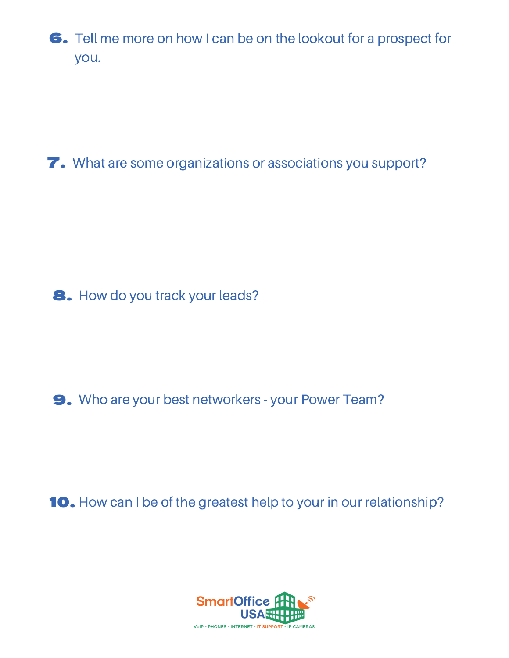6. Tell me more on how I can be on the lookout for a prospect for you.

7. What are some organizations or associations you support?

8. How do you track your leads?

9. Who are your best networkers - your Power Team?

10. How can I be of the greatest help to your in our relationship?